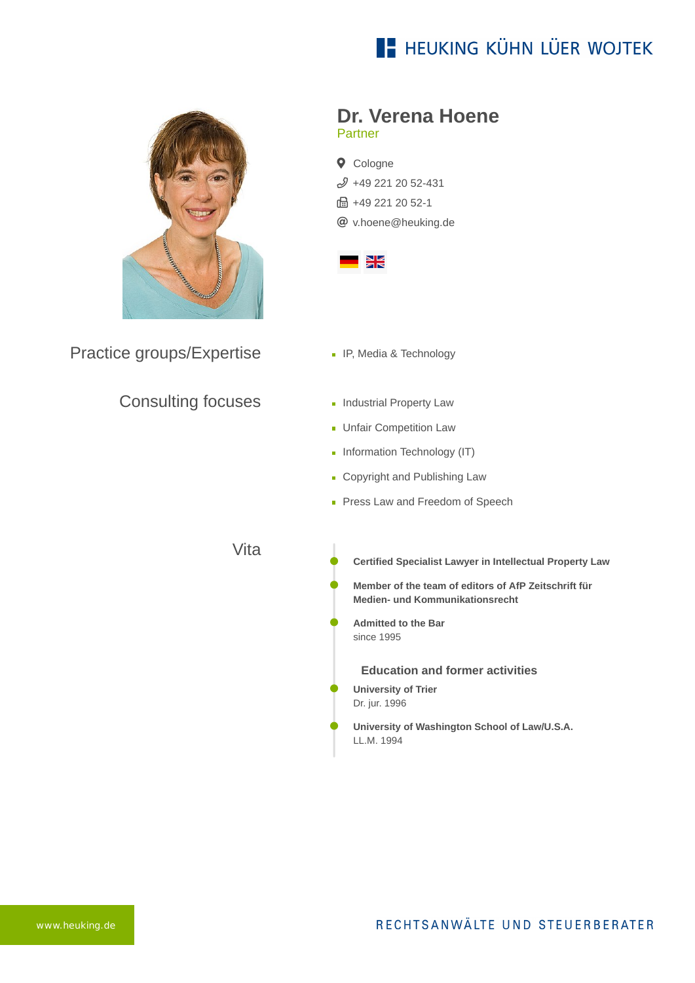## **E- HEUKING KÜHN LÜER WOJTEK**



Practice groups/Expertise

#### Consulting focuses

#### **Dr. Verena Hoene** Partner

**Q** Cologne  $$49$  221 20 52-431 **品+49 221 20 52-1** [v.hoene@heuking.de](mailto:v.hoene@heuking.de?subject=Contact%20via%20website%20heuking.de)



- **IP, Media & Technology**
- **Industrial Property Law**
- **Unfair Competition Law**
- **Information Technology (IT)**
- **Copyright and Publishing Law**
- Press Law and Freedom of Speech

Vita

- **Certified Specialist Lawyer in Intellectual Property Law**
- **Member of the team of editors of AfP Zeitschrift für Medien- und Kommunikationsrecht**
- **Admitted to the Bar** since 1995
	- **Education and former activities**
- **University of Trier** Dr. jur. 1996
- **University of Washington School of Law/U.S.A.** LL.M. 1994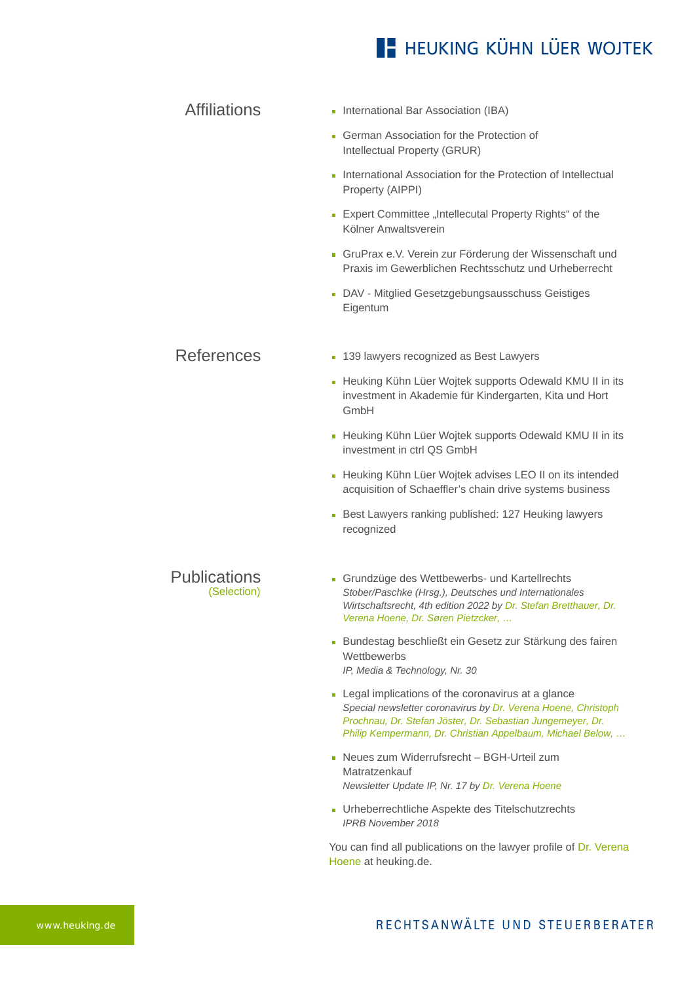### **E- HEUKING KÜHN LÜER WOJTEK**

| <b>Affiliations</b> | • International Bar Association (IBA)                                                                                           |
|---------------------|---------------------------------------------------------------------------------------------------------------------------------|
|                     | German Association for the Protection of<br>m,<br>Intellectual Property (GRUR)                                                  |
|                     | International Association for the Protection of Intellectual<br>m.<br>Property (AIPPI)                                          |
|                     | Expert Committee "Intellecutal Property Rights" of the<br>Ē.<br>Kölner Anwaltsverein                                            |
|                     | • GruPrax e.V. Verein zur Förderung der Wissenschaft und<br>Praxis im Gewerblichen Rechtsschutz und Urheberrecht                |
|                     | DAV - Mitglied Gesetzgebungsausschuss Geistiges<br>Ō,<br>Eigentum                                                               |
|                     |                                                                                                                                 |
| <b>References</b>   | 139 lawyers recognized as Best Lawyers<br>Ō.                                                                                    |
|                     | Heuking Kühn Lüer Wojtek supports Odewald KMU II in its<br>Ō.<br>investment in Akademie für Kindergarten, Kita und Hort<br>GmbH |
|                     | Heuking Kühn Lüer Wojtek supports Odewald KMU II in its<br>Ē,<br>investment in ctrl QS GmbH                                     |
|                     | Heuking Kühn Lüer Wojtek advises LEO II on its intended<br>acquisition of Schaeffler's chain drive systems business             |
|                     |                                                                                                                                 |

[Best Lawyers ranking published: 127 Heuking lawyers](https://www.heuking.de/en/lawyers/detail/pdf-download.html?lawyer=81&cHash=47a6c8a497e9be714bed73e5e01eaa0e) recognized

Publications (Selection)

- Grundzüge des Wettbewerbs- und Kartellrechts *Stober/Paschke (Hrsg.), Deutsches und Internationales Wirtschaftsrecht, 4th edition 2022 by Dr. Stefan Bretthauer, Dr. Verena Hoene, Dr. Søren Pietzcker, …*
- Bundestag beschließt ein Gesetz zur Stärkung des fairen **Wettbewerbs** *IP, Media & Technology, Nr. 30*
- **Legal implications of the coronavirus at a glance** *Special newsletter coronavirus by Dr. Verena Hoene, Christoph Prochnau, Dr. Stefan Jöster, Dr. Sebastian Jungemeyer, Dr. Philip Kempermann, Dr. Christian Appelbaum, Michael Below, …*
- Neues zum Widerrufsrecht BGH-Urteil zum Matratzenkauf *Newsletter Update IP, Nr. 17 by Dr. Verena Hoene*
- Urheberrechtliche Aspekte des Titelschutzrechts *IPRB November 2018*

[You can find all publications on the lawyer profile of Dr. Verena](https://www.heuking.de/en/lawyers/detail/dr-verena-hoene.html) Hoene at heuking.de.